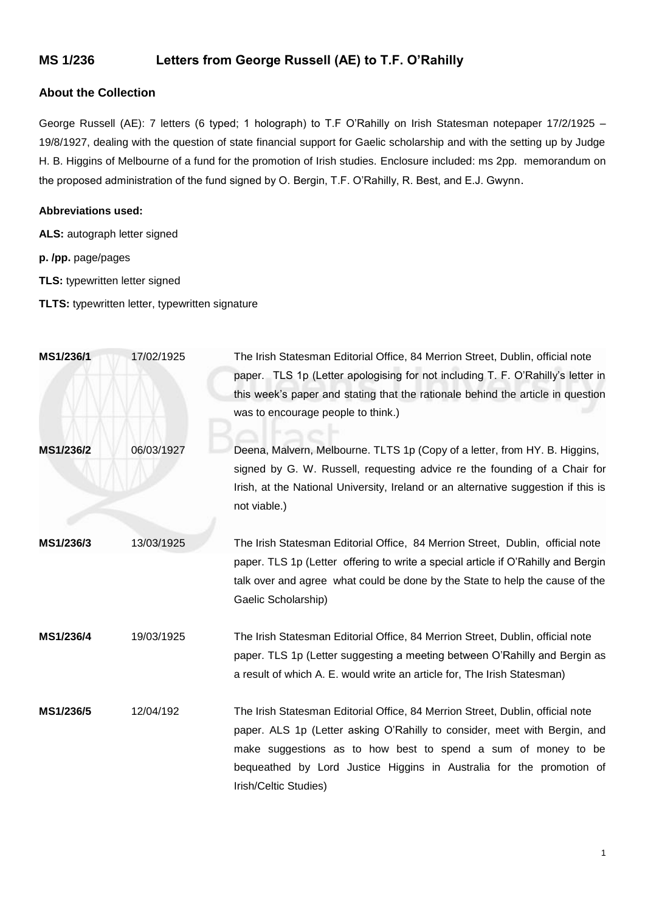## **MS 1/236 Letters from George Russell (AE) to T.F. O'Rahilly**

## **About the Collection**

George Russell (AE): 7 letters (6 typed; 1 holograph) to T.F O'Rahilly on Irish Statesman notepaper 17/2/1925 – 19/8/1927, dealing with the question of state financial support for Gaelic scholarship and with the setting up by Judge H. B. Higgins of Melbourne of a fund for the promotion of Irish studies. Enclosure included: ms 2pp. memorandum on the proposed administration of the fund signed by O. Bergin, T.F. O'Rahilly, R. Best, and E.J. Gwynn.

## **Abbreviations used:**

- **ALS:** autograph letter signed
- **p. /pp.** page/pages
- **TLS:** typewritten letter signed
- **TLTS:** typewritten letter, typewritten signature

| MS1/236/1 | 17/02/1925 | The Irish Statesman Editorial Office, 84 Merrion Street, Dublin, official note<br>paper. TLS 1p (Letter apologising for not including T. F. O'Rahilly's letter in<br>this week's paper and stating that the rationale behind the article in question<br>was to encourage people to think.)                                    |
|-----------|------------|-------------------------------------------------------------------------------------------------------------------------------------------------------------------------------------------------------------------------------------------------------------------------------------------------------------------------------|
| MS1/236/2 | 06/03/1927 | Deena, Malvern, Melbourne. TLTS 1p (Copy of a letter, from HY. B. Higgins,<br>signed by G. W. Russell, requesting advice re the founding of a Chair for<br>Irish, at the National University, Ireland or an alternative suggestion if this is<br>not viable.)                                                                 |
| MS1/236/3 | 13/03/1925 | The Irish Statesman Editorial Office, 84 Merrion Street, Dublin, official note<br>paper. TLS 1p (Letter offering to write a special article if O'Rahilly and Bergin<br>talk over and agree what could be done by the State to help the cause of the<br>Gaelic Scholarship)                                                    |
| MS1/236/4 | 19/03/1925 | The Irish Statesman Editorial Office, 84 Merrion Street, Dublin, official note<br>paper. TLS 1p (Letter suggesting a meeting between O'Rahilly and Bergin as<br>a result of which A. E. would write an article for, The Irish Statesman)                                                                                      |
| MS1/236/5 | 12/04/192  | The Irish Statesman Editorial Office, 84 Merrion Street, Dublin, official note<br>paper. ALS 1p (Letter asking O'Rahilly to consider, meet with Bergin, and<br>make suggestions as to how best to spend a sum of money to be<br>bequeathed by Lord Justice Higgins in Australia for the promotion of<br>Irish/Celtic Studies) |